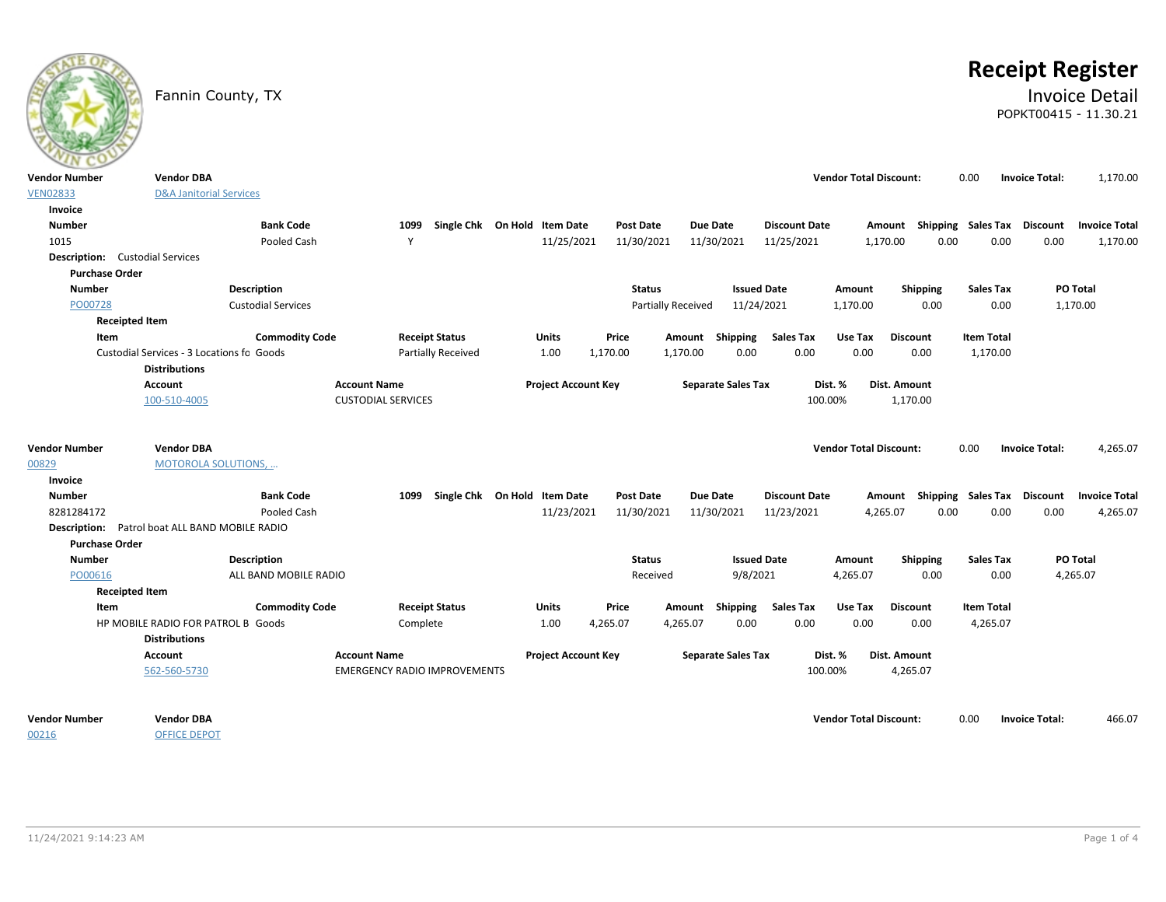# **Receipt Register**

### Fannin County, TX **Invoice Detail** POPKT00415 - 11.30.21

| ---                                    |                                                |                           |                                     |                              |                            |               |                           |                           |                      |                               |                  |                             |                       |                      |
|----------------------------------------|------------------------------------------------|---------------------------|-------------------------------------|------------------------------|----------------------------|---------------|---------------------------|---------------------------|----------------------|-------------------------------|------------------|-----------------------------|-----------------------|----------------------|
| <b>Vendor Number</b>                   | <b>Vendor DBA</b>                              |                           |                                     |                              |                            |               |                           |                           |                      | <b>Vendor Total Discount:</b> |                  | 0.00                        | <b>Invoice Total:</b> | 1,170.00             |
| <b>VEN02833</b>                        | <b>D&amp;A Janitorial Services</b>             |                           |                                     |                              |                            |               |                           |                           |                      |                               |                  |                             |                       |                      |
| Invoice                                |                                                |                           |                                     |                              |                            |               |                           |                           |                      |                               |                  |                             |                       |                      |
| <b>Number</b>                          |                                                | <b>Bank Code</b>          | 1099                                | Single Chk On Hold Item Date |                            | Post Date     |                           | Due Date                  | <b>Discount Date</b> |                               | Amount           | Shipping Sales Tax Discount |                       | <b>Invoice Total</b> |
| 1015                                   |                                                | Pooled Cash               | Y                                   |                              | 11/25/2021                 | 11/30/2021    |                           | 11/30/2021                | 11/25/2021           |                               | 0.00<br>1,170.00 | 0.00                        | 0.00                  | 1,170.00             |
| <b>Description:</b> Custodial Services |                                                |                           |                                     |                              |                            |               |                           |                           |                      |                               |                  |                             |                       |                      |
| <b>Purchase Order</b>                  |                                                |                           |                                     |                              |                            |               |                           |                           |                      |                               |                  |                             |                       |                      |
| <b>Number</b>                          |                                                | Description               |                                     |                              |                            | <b>Status</b> |                           | <b>Issued Date</b>        |                      | Amount                        | <b>Shipping</b>  | <b>Sales Tax</b>            |                       | PO Total             |
| PO00728                                |                                                | <b>Custodial Services</b> |                                     |                              |                            |               | <b>Partially Received</b> | 11/24/2021                |                      | 1,170.00                      | 0.00             | 0.00                        |                       | 1,170.00             |
|                                        | <b>Receipted Item</b>                          |                           |                                     |                              |                            |               |                           |                           |                      |                               |                  |                             |                       |                      |
| Item                                   |                                                | <b>Commodity Code</b>     | <b>Receipt Status</b>               |                              | Units                      | Price         | Amount                    | Shipping                  | <b>Sales Tax</b>     | Use Tax                       | <b>Discount</b>  | <b>Item Total</b>           |                       |                      |
|                                        | Custodial Services - 3 Locations fo Goods      |                           |                                     | <b>Partially Received</b>    | 1.00                       | 1,170.00      | 1,170.00                  | 0.00                      | 0.00                 | 0.00                          | 0.00             | 1,170.00                    |                       |                      |
|                                        | <b>Distributions</b>                           |                           |                                     |                              |                            |               |                           |                           |                      |                               |                  |                             |                       |                      |
|                                        | <b>Account</b>                                 |                           | <b>Account Name</b>                 |                              | <b>Project Account Key</b> |               |                           | <b>Separate Sales Tax</b> |                      | Dist. %                       | Dist. Amount     |                             |                       |                      |
|                                        | 100-510-4005                                   |                           | <b>CUSTODIAL SERVICES</b>           |                              |                            |               |                           |                           | 100.00%              |                               | 1,170.00         |                             |                       |                      |
|                                        |                                                |                           |                                     |                              |                            |               |                           |                           |                      |                               |                  |                             |                       |                      |
|                                        |                                                |                           |                                     |                              |                            |               |                           |                           |                      |                               |                  |                             |                       |                      |
| <b>Vendor Number</b>                   | <b>Vendor DBA</b>                              |                           |                                     |                              |                            |               |                           |                           |                      | <b>Vendor Total Discount:</b> |                  | 0.00                        | <b>Invoice Total:</b> | 4,265.07             |
| 00829                                  | <b>MOTOROLA SOLUTIONS, </b>                    |                           |                                     |                              |                            |               |                           |                           |                      |                               |                  |                             |                       |                      |
| Invoice                                |                                                |                           |                                     |                              |                            |               |                           |                           |                      |                               |                  |                             |                       |                      |
| <b>Number</b>                          |                                                | <b>Bank Code</b>          | 1099                                | Single Chk On Hold Item Date |                            | Post Date     |                           | <b>Due Date</b>           | <b>Discount Date</b> |                               | Amount           | <b>Shipping Sales Tax</b>   | <b>Discount</b>       | <b>Invoice Total</b> |
| 8281284172                             |                                                | Pooled Cash               |                                     |                              | 11/23/2021                 | 11/30/2021    |                           | 11/30/2021                | 11/23/2021           |                               | 4,265.07<br>0.00 | 0.00                        | 0.00                  | 4,265.07             |
|                                        | Description: Patrol boat ALL BAND MOBILE RADIO |                           |                                     |                              |                            |               |                           |                           |                      |                               |                  |                             |                       |                      |
| <b>Purchase Order</b>                  |                                                |                           |                                     |                              |                            |               |                           |                           |                      |                               |                  |                             |                       |                      |
| <b>Number</b>                          |                                                | Description               |                                     |                              |                            | <b>Status</b> |                           | <b>Issued Date</b>        |                      | Amount                        | <b>Shipping</b>  | <b>Sales Tax</b>            |                       | PO Total             |
| PO00616                                |                                                | ALL BAND MOBILE RADIO     |                                     |                              |                            |               | Received                  | 9/8/2021                  |                      | 4,265.07                      | 0.00             | 0.00                        |                       | 4,265.07             |
|                                        | <b>Receipted Item</b>                          |                           |                                     |                              |                            |               |                           |                           |                      |                               |                  |                             |                       |                      |
| Item                                   |                                                | <b>Commodity Code</b>     | <b>Receipt Status</b>               |                              | Units                      | Price         |                           | Amount Shipping           | <b>Sales Tax</b>     | Use Tax                       | <b>Discount</b>  | <b>Item Total</b>           |                       |                      |
|                                        | HP MOBILE RADIO FOR PATROL B Goods             |                           | Complete                            |                              | 1.00                       | 4,265.07      | 4,265.07                  | 0.00                      | 0.00                 | 0.00                          | 0.00             | 4,265.07                    |                       |                      |
|                                        | <b>Distributions</b>                           |                           |                                     |                              |                            |               |                           |                           |                      |                               |                  |                             |                       |                      |
|                                        | Account                                        |                           | <b>Account Name</b>                 |                              | <b>Project Account Key</b> |               |                           | <b>Separate Sales Tax</b> |                      | Dist. %                       | Dist. Amount     |                             |                       |                      |
|                                        | 562-560-5730                                   |                           | <b>EMERGENCY RADIO IMPROVEMENTS</b> |                              |                            |               |                           |                           | 100.00%              |                               | 4,265.07         |                             |                       |                      |
|                                        |                                                |                           |                                     |                              |                            |               |                           |                           |                      |                               |                  |                             |                       |                      |
|                                        |                                                |                           |                                     |                              |                            |               |                           |                           |                      |                               |                  |                             |                       |                      |
| <b>Vendor Number</b>                   | <b>Vendor DBA</b>                              |                           |                                     |                              |                            |               |                           |                           |                      | <b>Vendor Total Discount:</b> |                  | 0.00                        | <b>Invoice Total:</b> | 466.07               |
| 00216                                  | <b>OFFICE DEPOT</b>                            |                           |                                     |                              |                            |               |                           |                           |                      |                               |                  |                             |                       |                      |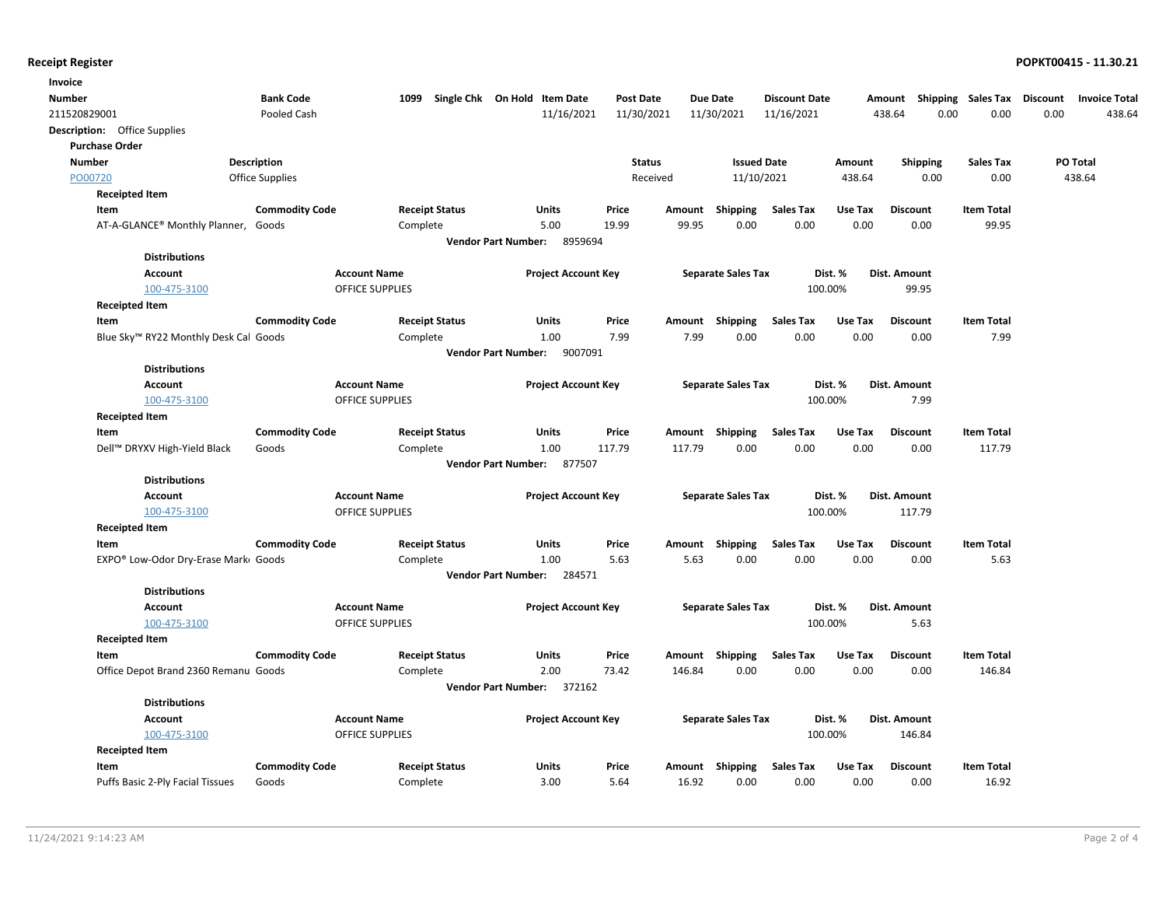| Invoice                                           |                        |                                      |                            |                             |                  |        |                           |                      |         |                 |                                    |                 |                      |
|---------------------------------------------------|------------------------|--------------------------------------|----------------------------|-----------------------------|------------------|--------|---------------------------|----------------------|---------|-----------------|------------------------------------|-----------------|----------------------|
| <b>Number</b>                                     | <b>Bank Code</b>       | Single Chk On Hold Item Date<br>1099 |                            |                             | <b>Post Date</b> |        | <b>Due Date</b>           | <b>Discount Date</b> |         |                 | Amount Shipping Sales Tax Discount |                 | <b>Invoice Total</b> |
| 211520829001                                      | Pooled Cash            |                                      |                            | 11/16/2021                  | 11/30/2021       |        | 11/30/2021                | 11/16/2021           |         | 438.64          | 0.00<br>0.00                       | 0.00            | 438.64               |
| <b>Description:</b> Office Supplies               |                        |                                      |                            |                             |                  |        |                           |                      |         |                 |                                    |                 |                      |
| <b>Purchase Order</b>                             |                        |                                      |                            |                             |                  |        |                           |                      |         |                 |                                    |                 |                      |
| <b>Number</b>                                     | <b>Description</b>     |                                      |                            |                             | <b>Status</b>    |        | <b>Issued Date</b>        |                      | Amount  | <b>Shipping</b> | <b>Sales Tax</b>                   | <b>PO Total</b> |                      |
| PO00720                                           | <b>Office Supplies</b> |                                      |                            |                             | Received         |        | 11/10/2021                |                      | 438.64  | 0.00            | 0.00                               | 438.64          |                      |
| <b>Receipted Item</b>                             |                        |                                      |                            |                             |                  |        |                           |                      |         |                 |                                    |                 |                      |
| Item                                              | <b>Commodity Code</b>  | <b>Receipt Status</b>                |                            | Units                       | Price            | Amount | Shipping                  | <b>Sales Tax</b>     | Use Tax | <b>Discount</b> | <b>Item Total</b>                  |                 |                      |
| AT-A-GLANCE® Monthly Planner, Goods               |                        | Complete                             |                            | 5.00                        | 19.99            | 99.95  | 0.00                      | 0.00                 | 0.00    | 0.00            | 99.95                              |                 |                      |
|                                                   |                        |                                      | <b>Vendor Part Number:</b> | 8959694                     |                  |        |                           |                      |         |                 |                                    |                 |                      |
| <b>Distributions</b>                              |                        |                                      |                            |                             |                  |        |                           |                      |         |                 |                                    |                 |                      |
| <b>Account</b>                                    |                        | <b>Account Name</b>                  |                            | <b>Project Account Key</b>  |                  |        | <b>Separate Sales Tax</b> |                      | Dist. % | Dist. Amount    |                                    |                 |                      |
| 100-475-3100                                      |                        | <b>OFFICE SUPPLIES</b>               |                            |                             |                  |        |                           | 100.00%              |         | 99.95           |                                    |                 |                      |
| <b>Receipted Item</b>                             |                        |                                      |                            |                             |                  |        |                           |                      |         |                 |                                    |                 |                      |
| Item                                              | <b>Commodity Code</b>  | <b>Receipt Status</b>                |                            | Units                       | Price            | Amount | Shipping                  | <b>Sales Tax</b>     | Use Tax | <b>Discount</b> | <b>Item Total</b>                  |                 |                      |
| Blue Sky <sup>™</sup> RY22 Monthly Desk Cal Goods |                        | Complete                             |                            | 1.00                        | 7.99             | 7.99   | 0.00                      | 0.00                 | 0.00    | 0.00            | 7.99                               |                 |                      |
|                                                   |                        |                                      |                            | Vendor Part Number: 9007091 |                  |        |                           |                      |         |                 |                                    |                 |                      |
| <b>Distributions</b>                              |                        |                                      |                            |                             |                  |        |                           |                      |         |                 |                                    |                 |                      |
| <b>Account</b>                                    |                        | <b>Account Name</b>                  |                            | <b>Project Account Key</b>  |                  |        | <b>Separate Sales Tax</b> |                      | Dist. % | Dist. Amount    |                                    |                 |                      |
| 100-475-3100                                      |                        | <b>OFFICE SUPPLIES</b>               |                            |                             |                  |        |                           | 100.00%              |         | 7.99            |                                    |                 |                      |
| <b>Receipted Item</b>                             |                        |                                      |                            |                             |                  |        |                           |                      |         |                 |                                    |                 |                      |
| Item                                              | <b>Commodity Code</b>  | <b>Receipt Status</b>                |                            | Units                       | Price            |        | Amount Shipping           | <b>Sales Tax</b>     | Use Tax | <b>Discount</b> | <b>Item Total</b>                  |                 |                      |
| Dell™ DRYXV High-Yield Black                      | Goods                  | Complete                             |                            | 1.00                        | 117.79           | 117.79 | 0.00                      | 0.00                 | 0.00    | 0.00            | 117.79                             |                 |                      |
|                                                   |                        |                                      | <b>Vendor Part Number:</b> | 877507                      |                  |        |                           |                      |         |                 |                                    |                 |                      |
| <b>Distributions</b>                              |                        |                                      |                            |                             |                  |        |                           |                      |         |                 |                                    |                 |                      |
| <b>Account</b>                                    |                        | <b>Account Name</b>                  |                            | <b>Project Account Key</b>  |                  |        | <b>Separate Sales Tax</b> |                      | Dist. % | Dist. Amount    |                                    |                 |                      |
| 100-475-3100                                      |                        | <b>OFFICE SUPPLIES</b>               |                            |                             |                  |        |                           | 100.00%              |         | 117.79          |                                    |                 |                      |
| <b>Receipted Item</b>                             |                        |                                      |                            |                             |                  |        |                           |                      |         |                 |                                    |                 |                      |
| Item                                              | <b>Commodity Code</b>  | <b>Receipt Status</b>                |                            | Units                       | Price            | Amount | Shipping                  | <b>Sales Tax</b>     | Use Tax | <b>Discount</b> | <b>Item Total</b>                  |                 |                      |
| EXPO® Low-Odor Dry-Erase Marki Goods              |                        | Complete                             |                            | 1.00                        | 5.63             | 5.63   | 0.00                      | 0.00                 | 0.00    | 0.00            | 5.63                               |                 |                      |
|                                                   |                        |                                      |                            | Vendor Part Number: 284571  |                  |        |                           |                      |         |                 |                                    |                 |                      |
| <b>Distributions</b>                              |                        |                                      |                            |                             |                  |        |                           |                      |         |                 |                                    |                 |                      |
| <b>Account</b>                                    |                        | <b>Account Name</b>                  |                            | <b>Project Account Key</b>  |                  |        | <b>Separate Sales Tax</b> |                      | Dist. % | Dist. Amount    |                                    |                 |                      |
| 100-475-3100                                      |                        | <b>OFFICE SUPPLIES</b>               |                            |                             |                  |        |                           | 100.00%              |         | 5.63            |                                    |                 |                      |
| <b>Receipted Item</b>                             |                        |                                      |                            |                             |                  |        |                           |                      |         |                 |                                    |                 |                      |
| Item                                              | <b>Commodity Code</b>  | <b>Receipt Status</b>                |                            | Units                       | Price            | Amount | Shipping                  | <b>Sales Tax</b>     | Use Tax | <b>Discount</b> | <b>Item Total</b>                  |                 |                      |
| Office Depot Brand 2360 Remanu Goods              |                        | Complete                             |                            | 2.00                        | 73.42            | 146.84 | 0.00                      | 0.00                 | 0.00    | 0.00            | 146.84                             |                 |                      |
|                                                   |                        |                                      |                            | Vendor Part Number: 372162  |                  |        |                           |                      |         |                 |                                    |                 |                      |
| <b>Distributions</b>                              |                        |                                      |                            |                             |                  |        |                           |                      |         |                 |                                    |                 |                      |
| <b>Account</b>                                    |                        | <b>Account Name</b>                  |                            | <b>Project Account Key</b>  |                  |        | <b>Separate Sales Tax</b> |                      | Dist. % | Dist. Amount    |                                    |                 |                      |
| 100-475-3100                                      |                        | <b>OFFICE SUPPLIES</b>               |                            |                             |                  |        |                           | 100.00%              |         | 146.84          |                                    |                 |                      |
| <b>Receipted Item</b>                             |                        |                                      |                            |                             |                  |        |                           |                      |         |                 |                                    |                 |                      |
| Item                                              | <b>Commodity Code</b>  | <b>Receipt Status</b>                |                            | Units                       | Price            |        | Amount Shipping           | <b>Sales Tax</b>     | Use Tax | <b>Discount</b> | <b>Item Total</b>                  |                 |                      |
| Puffs Basic 2-Ply Facial Tissues                  | Goods                  | Complete                             |                            | 3.00                        | 5.64             | 16.92  | 0.00                      | 0.00                 | 0.00    | 0.00            | 16.92                              |                 |                      |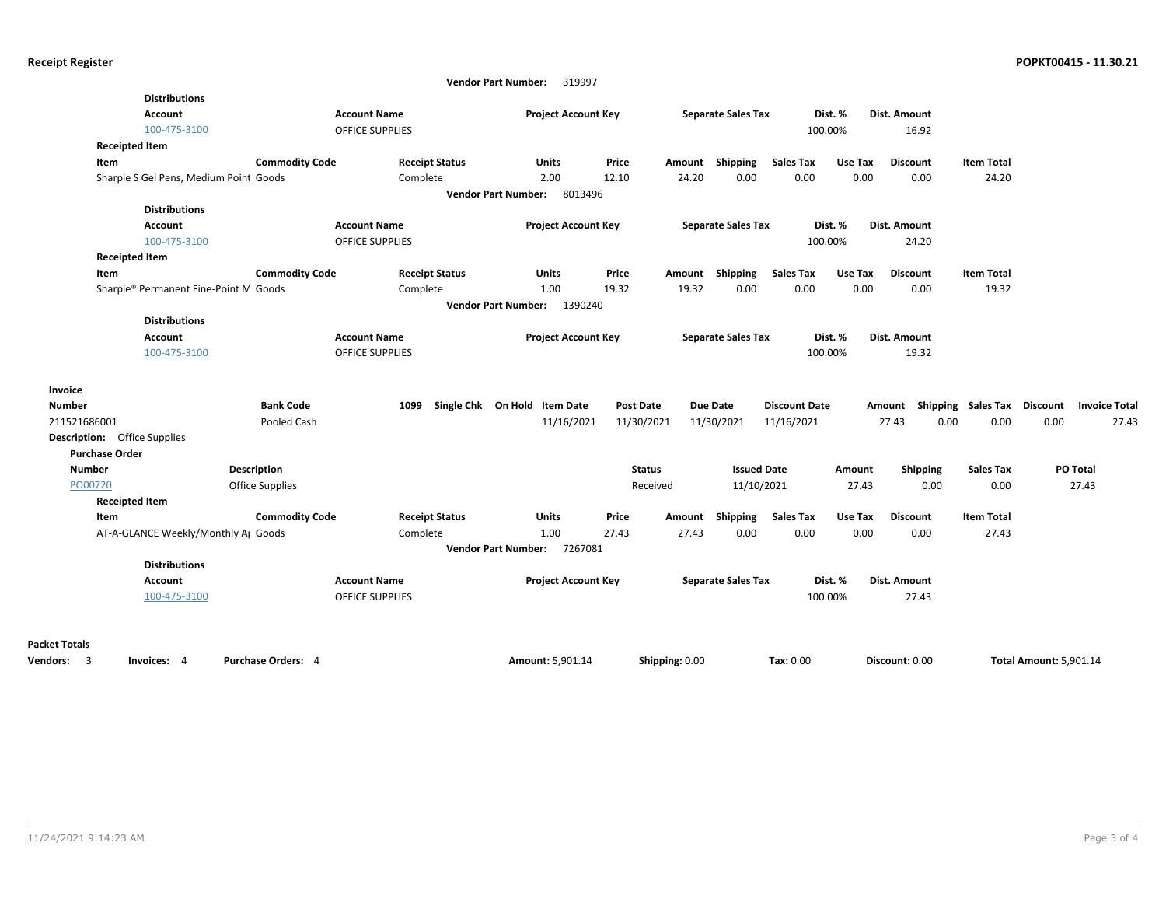|                                     |                                        |                        |                                        | <b>Vendor Part Number:</b><br>319997 |                  |                |                           |                      |                    |                                    |                   |                               |                      |
|-------------------------------------|----------------------------------------|------------------------|----------------------------------------|--------------------------------------|------------------|----------------|---------------------------|----------------------|--------------------|------------------------------------|-------------------|-------------------------------|----------------------|
|                                     | <b>Distributions</b>                   |                        |                                        |                                      |                  |                |                           |                      |                    |                                    |                   |                               |                      |
|                                     | Account                                |                        | <b>Account Name</b>                    | <b>Project Account Key</b>           |                  |                | <b>Separate Sales Tax</b> |                      | Dist. %            | Dist. Amount                       |                   |                               |                      |
|                                     | 100-475-3100                           |                        | OFFICE SUPPLIES                        |                                      |                  |                |                           |                      | 100.00%            | 16.92                              |                   |                               |                      |
|                                     | <b>Receipted Item</b>                  |                        |                                        |                                      |                  |                |                           |                      |                    |                                    |                   |                               |                      |
| Item                                |                                        | <b>Commodity Code</b>  | <b>Receipt Status</b>                  | <b>Units</b>                         | Price            |                | Amount Shipping           | <b>Sales Tax</b>     | Use Tax            | <b>Discount</b>                    | <b>Item Total</b> |                               |                      |
|                                     | Sharpie S Gel Pens, Medium Point Goods |                        | Complete                               | 2.00                                 | 12.10            | 24.20          | 0.00                      | 0.00                 | 0.00               | 0.00                               | 24.20             |                               |                      |
|                                     |                                        |                        |                                        | Vendor Part Number: 8013496          |                  |                |                           |                      |                    |                                    |                   |                               |                      |
|                                     | <b>Distributions</b>                   |                        |                                        |                                      |                  |                |                           |                      |                    |                                    |                   |                               |                      |
|                                     | <b>Account</b>                         |                        | <b>Account Name</b>                    | <b>Project Account Key</b>           |                  |                | <b>Separate Sales Tax</b> |                      | Dist. %            | Dist. Amount                       |                   |                               |                      |
|                                     | 100-475-3100                           |                        | OFFICE SUPPLIES                        |                                      |                  |                |                           |                      | 100.00%            | 24.20                              |                   |                               |                      |
|                                     | <b>Receipted Item</b>                  |                        |                                        |                                      |                  |                |                           |                      |                    |                                    |                   |                               |                      |
| Item                                |                                        | <b>Commodity Code</b>  | <b>Receipt Status</b>                  | <b>Units</b>                         | Price            | Amount         | <b>Shipping</b>           | <b>Sales Tax</b>     | Use Tax            | <b>Discount</b>                    | <b>Item Total</b> |                               |                      |
|                                     | Sharpie® Permanent Fine-Point M Goods  |                        | Complete                               | 1.00                                 | 19.32            | 19.32          | 0.00                      | 0.00                 | 0.00               | 0.00                               | 19.32             |                               |                      |
|                                     |                                        |                        |                                        | Vendor Part Number: 1390240          |                  |                |                           |                      |                    |                                    |                   |                               |                      |
|                                     | <b>Distributions</b>                   |                        |                                        |                                      |                  |                |                           |                      |                    |                                    |                   |                               |                      |
|                                     | Account<br>100-475-3100                |                        | <b>Account Name</b><br>OFFICE SUPPLIES | <b>Project Account Key</b>           |                  |                | <b>Separate Sales Tax</b> |                      | Dist. %<br>100.00% | Dist. Amount<br>19.32              |                   |                               |                      |
|                                     |                                        |                        |                                        |                                      |                  |                |                           |                      |                    |                                    |                   |                               |                      |
| Invoice                             |                                        |                        |                                        |                                      |                  |                |                           |                      |                    |                                    |                   |                               |                      |
| <b>Number</b>                       |                                        | <b>Bank Code</b>       | 1099                                   | Single Chk On Hold Item Date         | <b>Post Date</b> |                | <b>Due Date</b>           | <b>Discount Date</b> |                    | Amount Shipping Sales Tax Discount |                   |                               | <b>Invoice Total</b> |
| 211521686001                        |                                        | Pooled Cash            |                                        | 11/16/2021                           | 11/30/2021       |                | 11/30/2021                | 11/16/2021           |                    | 27.43<br>0.00                      | 0.00              | 0.00                          | 27.43                |
| <b>Description:</b> Office Supplies |                                        |                        |                                        |                                      |                  |                |                           |                      |                    |                                    |                   |                               |                      |
| <b>Purchase Order</b>               |                                        |                        |                                        |                                      |                  |                |                           |                      |                    |                                    |                   |                               |                      |
| <b>Number</b>                       |                                        | Description            |                                        |                                      | <b>Status</b>    |                | <b>Issued Date</b>        |                      | Amount             | <b>Shipping</b>                    | <b>Sales Tax</b>  | PO Total                      |                      |
| PO00720                             |                                        | <b>Office Supplies</b> |                                        |                                      | Received         |                | 11/10/2021                |                      | 27.43              | 0.00                               | 0.00              | 27.43                         |                      |
|                                     | <b>Receipted Item</b>                  |                        |                                        |                                      |                  |                |                           |                      |                    |                                    |                   |                               |                      |
| Item                                |                                        | <b>Commodity Code</b>  | <b>Receipt Status</b>                  | <b>Units</b>                         | Price            | Amount         | Shipping                  | <b>Sales Tax</b>     | Use Tax            | <b>Discount</b>                    | <b>Item Total</b> |                               |                      |
|                                     | AT-A-GLANCE Weekly/Monthly AJ Goods    |                        | Complete                               | 1.00                                 | 27.43            | 27.43          | 0.00                      | 0.00                 | 0.00               | 0.00                               | 27.43             |                               |                      |
|                                     |                                        |                        |                                        | Vendor Part Number: 7267081          |                  |                |                           |                      |                    |                                    |                   |                               |                      |
|                                     | <b>Distributions</b>                   |                        |                                        |                                      |                  |                |                           |                      |                    |                                    |                   |                               |                      |
|                                     | Account                                |                        | <b>Account Name</b>                    | <b>Project Account Key</b>           |                  |                | <b>Separate Sales Tax</b> |                      | Dist. %            | Dist. Amount                       |                   |                               |                      |
|                                     | 100-475-3100                           |                        | <b>OFFICE SUPPLIES</b>                 |                                      |                  |                |                           |                      | 100.00%            | 27.43                              |                   |                               |                      |
|                                     |                                        |                        |                                        |                                      |                  |                |                           |                      |                    |                                    |                   |                               |                      |
|                                     |                                        |                        |                                        |                                      |                  |                |                           |                      |                    |                                    |                   |                               |                      |
| <b>Packet Totals</b><br>Vendors: 3  | Invoices: 4                            | Purchase Orders: 4     |                                        | <b>Amount: 5.901.14</b>              |                  | Shipping: 0.00 |                           | Tax: 0.00            |                    | Discount: 0.00                     |                   | <b>Total Amount: 5.901.14</b> |                      |
|                                     |                                        |                        |                                        |                                      |                  |                |                           |                      |                    |                                    |                   |                               |                      |